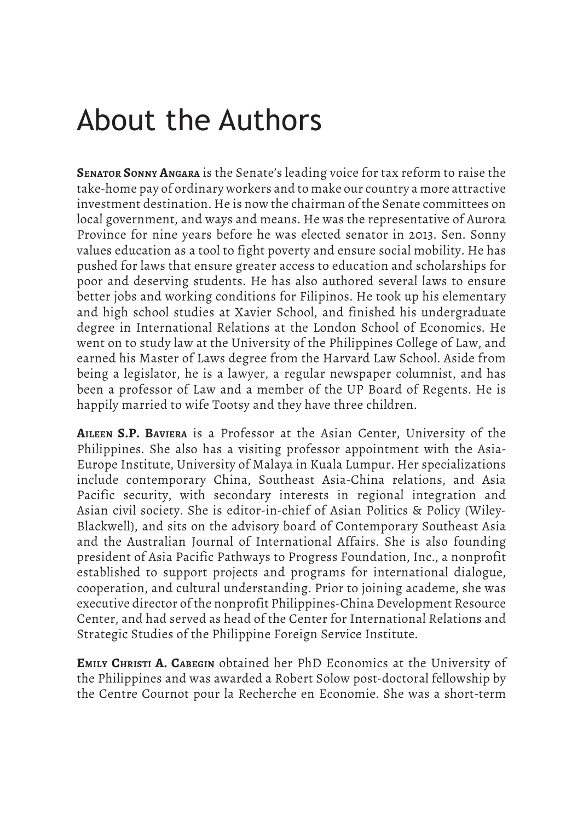## About the Authors

**Senator Sonny Angara** is the Senate's leading voice for tax reform to raise the take-home pay of ordinary workers and to make our country a more attractive investment destination. He is now the chairman of the Senate committees on local government, and ways and means. He was the representative of Aurora Province for nine years before he was elected senator in 2013. Sen. Sonny values education as a tool to fight poverty and ensure social mobility. He has pushed for laws that ensure greater access to education and scholarships for poor and deserving students. He has also authored several laws to ensure better jobs and working conditions for Filipinos. He took up his elementary and high school studies at Xavier School, and finished his undergraduate degree in International Relations at the London School of Economics. He went on to study law at the University of the Philippines College of Law, and earned his Master of Laws degree from the Harvard Law School. Aside from being a legislator, he is a lawyer, a regular newspaper columnist, and has been a professor of Law and a member of the UP Board of Regents. He is happily married to wife Tootsy and they have three children.

**Aileen S.P. Baviera** is a Professor at the Asian Center, University of the Philippines. She also has a visiting professor appointment with the Asia-Europe Institute, University of Malaya in Kuala Lumpur. Her specializations include contemporary China, Southeast Asia-China relations, and Asia Pacific security, with secondary interests in regional integration and Asian civil society. She is editor-in-chief of Asian Politics & Policy (Wiley-Blackwell), and sits on the advisory board of Contemporary Southeast Asia and the Australian Journal of International Affairs. She is also founding president of Asia Pacific Pathways to Progress Foundation, Inc., a nonprofit established to support projects and programs for international dialogue, cooperation, and cultural understanding. Prior to joining academe, she was executive director of the nonprofit Philippines-China Development Resource Center, and had served as head of the Center for International Relations and Strategic Studies of the Philippine Foreign Service Institute.

**Emily Christi A. Cabegin** obtained her PhD Economics at the University of the Philippines and was awarded a Robert Solow post-doctoral fellowship by the Centre Cournot pour la Recherche en Economie. She was a short-term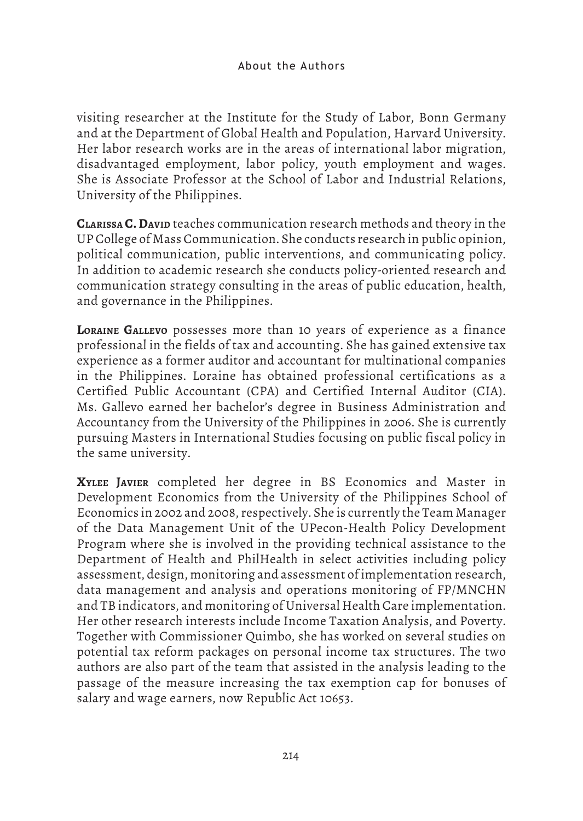visiting researcher at the Institute for the Study of Labor, Bonn Germany and at the Department of Global Health and Population, Harvard University. Her labor research works are in the areas of international labor migration, disadvantaged employment, labor policy, youth employment and wages. She is Associate Professor at the School of Labor and Industrial Relations, University of the Philippines.

**CLARISSA C. David** teaches communication research methods and theory in the UP College of Mass Communication. She conducts research in public opinion, political communication, public interventions, and communicating policy. In addition to academic research she conducts policy-oriented research and communication strategy consulting in the areas of public education, health, and governance in the Philippines.

**Loraine Gallevo** possesses more than 10 years of experience as a finance professional in the fields of tax and accounting. She has gained extensive tax experience as a former auditor and accountant for multinational companies in the Philippines. Loraine has obtained professional certifications as a Certified Public Accountant (CPA) and Certified Internal Auditor (CIA). Ms. Gallevo earned her bachelor's degree in Business Administration and Accountancy from the University of the Philippines in 2006. She is currently pursuing Masters in International Studies focusing on public fiscal policy in the same university.

**Xylee Javier** completed her degree in BS Economics and Master in Development Economics from the University of the Philippines School of Economics in 2002 and 2008, respectively. She is currently the Team Manager of the Data Management Unit of the UPecon-Health Policy Development Program where she is involved in the providing technical assistance to the Department of Health and PhilHealth in select activities including policy assessment, design, monitoring and assessment of implementation research, data management and analysis and operations monitoring of FP/MNCHN and TB indicators, and monitoring of Universal Health Care implementation. Her other research interests include Income Taxation Analysis, and Poverty. Together with Commissioner Quimbo, she has worked on several studies on potential tax reform packages on personal income tax structures. The two authors are also part of the team that assisted in the analysis leading to the passage of the measure increasing the tax exemption cap for bonuses of salary and wage earners, now Republic Act 10653.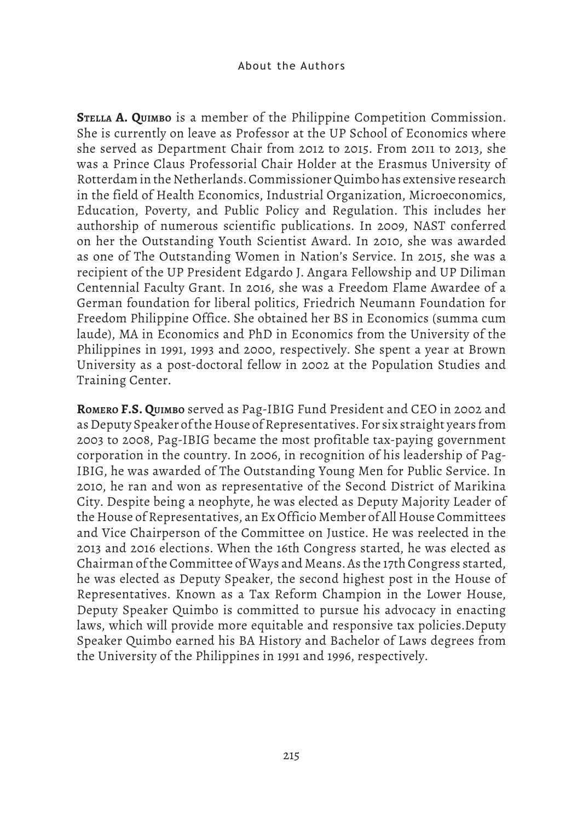**Stella A. Quimbo** is a member of the Philippine Competition Commission. She is currently on leave as Professor at the UP School of Economics where she served as Department Chair from 2012 to 2015. From 2011 to 2013, she was a Prince Claus Professorial Chair Holder at the Erasmus University of Rotterdam in the Netherlands. Commissioner Quimbo has extensive research in the field of Health Economics, Industrial Organization, Microeconomics, Education, Poverty, and Public Policy and Regulation. This includes her authorship of numerous scientific publications. In 2009, NAST conferred on her the Outstanding Youth Scientist Award. In 2010, she was awarded as one of The Outstanding Women in Nation's Service. In 2015, she was a recipient of the UP President Edgardo J. Angara Fellowship and UP Diliman Centennial Faculty Grant. In 2016, she was a Freedom Flame Awardee of a German foundation for liberal politics, Friedrich Neumann Foundation for Freedom Philippine Office. She obtained her BS in Economics (summa cum laude), MA in Economics and PhD in Economics from the University of the Philippines in 1991, 1993 and 2000, respectively. She spent a year at Brown University as a post-doctoral fellow in 2002 at the Population Studies and Training Center.

**Romero F.S. Quimbo** served as Pag-IBIG Fund President and CEO in 2002 and as Deputy Speaker of the House of Representatives. For six straight years from 2003 to 2008, Pag-IBIG became the most profitable tax-paying government corporation in the country. In 2006, in recognition of his leadership of Pag-IBIG, he was awarded of The Outstanding Young Men for Public Service. In 2010, he ran and won as representative of the Second District of Marikina City. Despite being a neophyte, he was elected as Deputy Majority Leader of the House of Representatives, an Ex Officio Member of All House Committees and Vice Chairperson of the Committee on Justice. He was reelected in the 2013 and 2016 elections. When the 16th Congress started, he was elected as Chairman of the Committee of Ways and Means. As the 17th Congress started, he was elected as Deputy Speaker, the second highest post in the House of Representatives. Known as a Tax Reform Champion in the Lower House, Deputy Speaker Quimbo is committed to pursue his advocacy in enacting laws, which will provide more equitable and responsive tax policies.Deputy Speaker Quimbo earned his BA History and Bachelor of Laws degrees from the University of the Philippines in 1991 and 1996, respectively.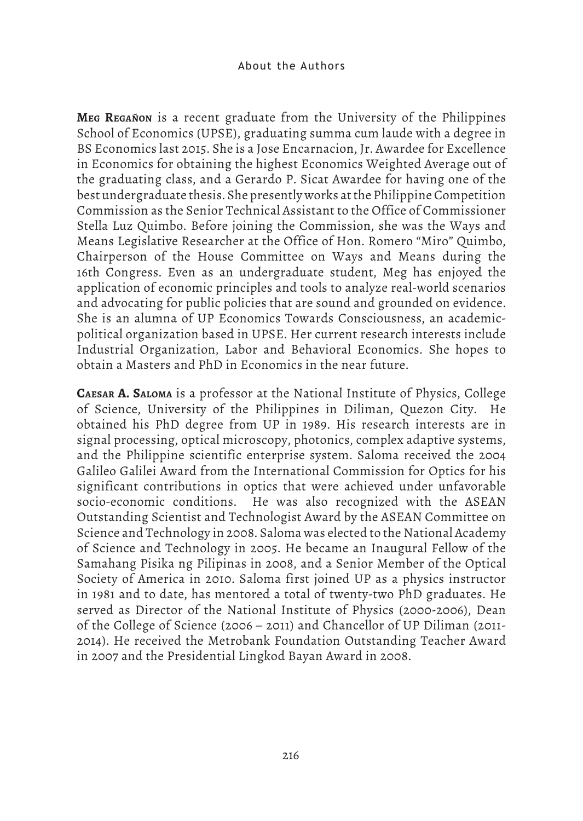**Meg Regañon** is a recent graduate from the University of the Philippines School of Economics (UPSE), graduating summa cum laude with a degree in BS Economics last 2015. She is a Jose Encarnacion, Jr. Awardee for Excellence in Economics for obtaining the highest Economics Weighted Average out of the graduating class, and a Gerardo P. Sicat Awardee for having one of the best undergraduate thesis. She presently works at the Philippine Competition Commission as the Senior Technical Assistant to the Office of Commissioner Stella Luz Quimbo. Before joining the Commission, she was the Ways and Means Legislative Researcher at the Office of Hon. Romero "Miro" Quimbo, Chairperson of the House Committee on Ways and Means during the 16th Congress. Even as an undergraduate student, Meg has enjoyed the application of economic principles and tools to analyze real-world scenarios and advocating for public policies that are sound and grounded on evidence. She is an alumna of UP Economics Towards Consciousness, an academicpolitical organization based in UPSE. Her current research interests include Industrial Organization, Labor and Behavioral Economics. She hopes to obtain a Masters and PhD in Economics in the near future.

**Caesar A. Saloma** is a professor at the National Institute of Physics, College of Science, University of the Philippines in Diliman, Quezon City. He obtained his PhD degree from UP in 1989. His research interests are in signal processing, optical microscopy, photonics, complex adaptive systems, and the Philippine scientific enterprise system. Saloma received the 2004 Galileo Galilei Award from the International Commission for Optics for his significant contributions in optics that were achieved under unfavorable socio-economic conditions. He was also recognized with the ASEAN Outstanding Scientist and Technologist Award by the ASEAN Committee on Science and Technology in 2008. Saloma was elected to the National Academy of Science and Technology in 2005. He became an Inaugural Fellow of the Samahang Pisika ng Pilipinas in 2008, and a Senior Member of the Optical Society of America in 2010. Saloma first joined UP as a physics instructor in 1981 and to date, has mentored a total of twenty-two PhD graduates. He served as Director of the National Institute of Physics (2000-2006), Dean of the College of Science (2006 – 2011) and Chancellor of UP Diliman (2011- 2014). He received the Metrobank Foundation Outstanding Teacher Award in 2007 and the Presidential Lingkod Bayan Award in 2008.